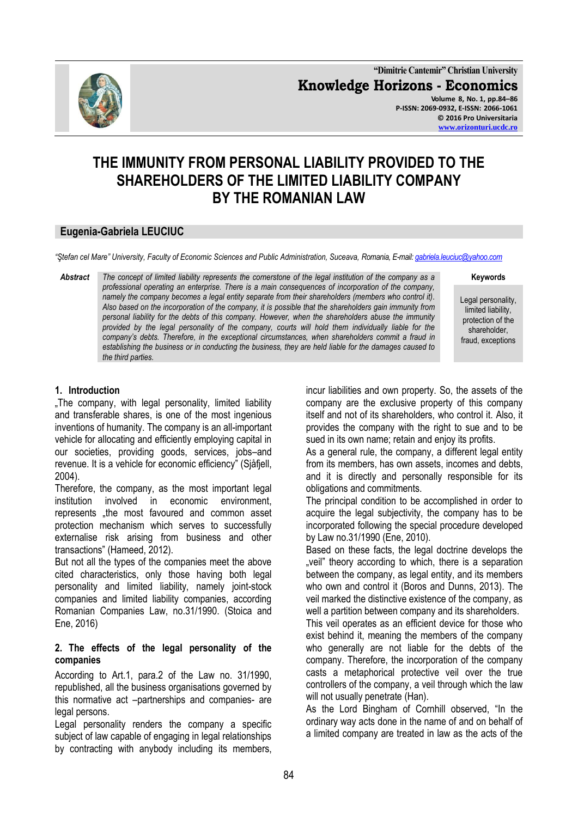

**"Dimitrie Cantemir" Christian University Knowledge Horizons - Economics Volume 8, No. 1, pp.84–86 P-ISSN: 2069-0932, E-ISSN: 2066-1061 © 2016 Pro Universitaria [www.orizonturi.ucdc.ro](http://www.orizonturi.ucdc.ro/)**

# **THE IMMUNITY FROM PERSONAL LIABILITY PROVIDED TO THE SHAREHOLDERS OF THE LIMITED LIABILITY COMPANY BY THE ROMANIAN LAW**

## **Eugenia-Gabriela LEUCIUC**

*"Ştefan cel Mare" University, Faculty of Economic Sciences and Public Administration, Suceava, Romania, E-mail[: gabriela.leuciuc@yahoo.com](mailto:gabriela.leuciuc@yahoo.com)*

*Abstract The concept of limited liability represents the cornerstone of the legal institution of the company as a professional operating an enterprise. There is a main consequences of incorporation of the company, namely the company becomes a legal entity separate from their shareholders (members who control it). Also based on the incorporation of the company, it is possible that the shareholders gain immunity from personal liability for the debts of this company. However, when the shareholders abuse the immunity provided by the legal personality of the company, courts will hold them individually liable for the company"s debts. Therefore, in the exceptional circumstances, when shareholders commit a fraud in establishing the business or in conducting the business, they are held liable for the damages caused to the third parties.*

**Keywords**

Legal personality, limited liability, protection of the shareholder, fraud, exceptions

## **1. Introduction**

"The company, with legal personality, limited liability and transferable shares, is one of the most ingenious inventions of humanity. The company is an all-important vehicle for allocating and efficiently employing capital in our societies, providing goods, services, jobs–and revenue. It is a vehicle for economic efficiency" (Sjåfjell, 2004).

Therefore, the company, as the most important legal institution involved in economic environment, represents "the most favoured and common asset protection mechanism which serves to successfully externalise risk arising from business and other transactions" (Hameed, 2012).

But not all the types of the companies meet the above cited characteristics, only those having both legal personality and limited liability, namely joint-stock companies and limited liability companies, according Romanian Companies Law, no.31/1990. (Stoica and Ene, 2016)

#### **2. The effects of the legal personality of the companies**

According to Art.1, para.2 of the Law no. 31/1990, republished, all the business organisations governed by this normative act –partnerships and companies- are legal persons.

Legal personality renders the company a specific subject of law capable of engaging in legal relationships by contracting with anybody including its members, incur liabilities and own property. So, the assets of the company are the exclusive property of this company itself and not of its shareholders, who control it. Also, it provides the company with the right to sue and to be sued in its own name; retain and enjoy its profits.

As a general rule, the company, a different legal entity from its members, has own assets, incomes and debts, and it is directly and personally responsible for its obligations and commitments.

The principal condition to be accomplished in order to acquire the legal subjectivity, the company has to be incorporated following the special procedure developed by Law no.31/1990 (Ene, 2010).

Based on these facts, the legal doctrine develops the "veil" theory according to which, there is a separation between the company, as legal entity, and its members who own and control it (Boros and Dunns, 2013). The veil marked the distinctive existence of the company, as well a partition between company and its shareholders.

This veil operates as an efficient device for those who exist behind it, meaning the members of the company who generally are not liable for the debts of the company. Therefore, the incorporation of the company casts a metaphorical protective veil over the true controllers of the company, a veil through which the law will not usually penetrate (Han).

As the Lord Bingham of Cornhill observed, "In the ordinary way acts done in the name of and on behalf of a limited company are treated in law as the acts of the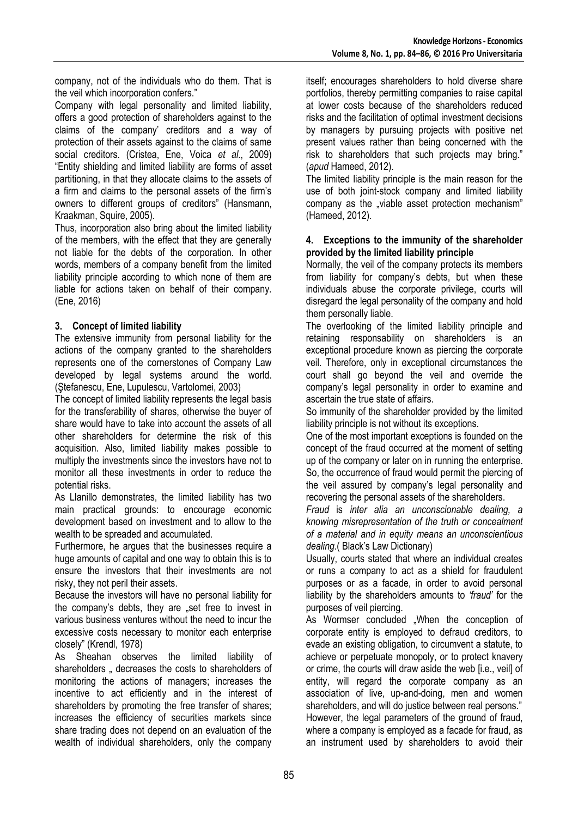company, not of the individuals who do them. That is the veil which incorporation confers."

Company with legal personality and limited liability, offers a good protection of shareholders against to the claims of the company' creditors and a way of protection of their assets against to the claims of same social creditors. (Cristea, Ene, Voica *et al*., 2009) "Entity shielding and limited liability are forms of asset partitioning, in that they allocate claims to the assets of a firm and claims to the personal assets of the firm's owners to different groups of creditors" (Hansmann, Kraakman, Squire, 2005).

Thus, incorporation also bring about the limited liability of the members, with the effect that they are generally not liable for the debts of the corporation. In other words, members of a company benefit from the limited liability principle according to which none of them are liable for actions taken on behalf of their company. (Ene, 2016)

# **3. Concept of limited liability**

The extensive immunity from personal liability for the actions of the company granted to the shareholders represents one of the cornerstones of Company Law developed by legal systems around the world. (Ştefanescu, Ene, Lupulescu, Vartolomei, 2003)

The concept of limited liability represents the legal basis for the transferability of shares, otherwise the buyer of share would have to take into account the assets of all other shareholders for determine the risk of this acquisition. Also, limited liability makes possible to multiply the investments since the investors have not to monitor all these investments in order to reduce the potential risks.

As Llanillo demonstrates, the limited liability has two main practical grounds: to encourage economic development based on investment and to allow to the wealth to be spreaded and accumulated.

Furthermore, he argues that the businesses require a huge amounts of capital and one way to obtain this is to ensure the investors that their investments are not risky, they not peril their assets.

Because the investors will have no personal liability for the company's debts, they are "set free to invest in various business ventures without the need to incur the excessive costs necessary to monitor each enterprise closely" (Krendl, 1978)

As Sheahan observes the limited liability of shareholders .. decreases the costs to shareholders of monitoring the actions of managers; increases the incentive to act efficiently and in the interest of shareholders by promoting the free transfer of shares; increases the efficiency of securities markets since share trading does not depend on an evaluation of the wealth of individual shareholders, only the company itself; encourages shareholders to hold diverse share portfolios, thereby permitting companies to raise capital at lower costs because of the shareholders reduced risks and the facilitation of optimal investment decisions by managers by pursuing projects with positive net present values rather than being concerned with the risk to shareholders that such projects may bring." (*apud* Hameed, 2012).

The limited liability principle is the main reason for the use of both joint-stock company and limited liability company as the "viable asset protection mechanism" (Hameed, 2012).

### **4. Exceptions to the immunity of the shareholder provided by the limited liability principle**

Normally, the veil of the company protects its members from liability for company's debts, but when these individuals abuse the corporate privilege, courts will disregard the legal personality of the company and hold them personally liable.

The overlooking of the limited liability principle and retaining responsability on shareholders is an exceptional procedure known as piercing the corporate veil. Therefore, only in exceptional circumstances the court shall go beyond the veil and override the company's legal personality in order to examine and ascertain the true state of affairs.

So immunity of the shareholder provided by the limited liability principle is not without its exceptions.

One of the most important exceptions is founded on the concept of the fraud occurred at the moment of setting up of the company or later on in running the enterprise. So, the occurrence of fraud would permit the piercing of the veil assured by company's legal personality and recovering the personal assets of the shareholders.

*Fraud* is *inter alia an unconscionable dealing, a knowing misrepresentation of the truth or concealment of a material and in equity means an unconscientious dealing*.( Black's Law Dictionary)

Usually, courts stated that where an individual creates or runs a company to act as a shield for fraudulent purposes or as a facade, in order to avoid personal liability by the shareholders amounts to *"fraud"* for the purposes of veil piercing.

As Wormser concluded "When the conception of corporate entity is employed to defraud creditors, to evade an existing obligation, to circumvent a statute, to achieve or perpetuate monopoly, or to protect knavery or crime, the courts will draw aside the web [i.e., veil] of entity, will regard the corporate company as an association of live, up-and-doing, men and women shareholders, and will do justice between real persons." However, the legal parameters of the ground of fraud, where a company is employed as a facade for fraud, as an instrument used by shareholders to avoid their